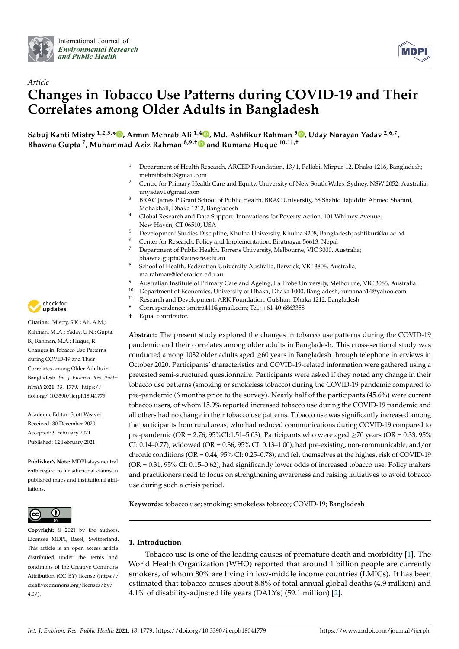



# *Article* **Changes in Tobacco Use Patterns during COVID-19 and Their Correlates among Older Adults in Bangladesh**

**Sabuj Kanti Mistry 1,2,3,[\\*](https://orcid.org/0000-0001-6100-6076) , Armm Mehrab Ali 1,4 [,](https://orcid.org/0000-0001-5442-7147) Md. Ashfikur Rahman <sup>5</sup> [,](https://orcid.org/0000-0002-5517-8557) Uday Narayan Yadav 2,6,7 , Bhawna Gupta <sup>7</sup> , Muhammad Aziz Rahman 8,9,† and Rumana Huque 10,11,†**

- <sup>1</sup> Department of Health Research, ARCED Foundation, 13/1, Pallabi, Mirpur-12, Dhaka 1216, Bangladesh; mehrabbabu@gmail.com
- <sup>2</sup> Centre for Primary Health Care and Equity, University of New South Wales, Sydney, NSW 2052, Australia; unyadav1@gmail.com
- <sup>3</sup> BRAC James P Grant School of Public Health, BRAC University, 68 Shahid Tajuddin Ahmed Sharani, Mohakhali, Dhaka 1212, Bangladesh
- <sup>4</sup> Global Research and Data Support, Innovations for Poverty Action, 101 Whitney Avenue, New Haven, CT 06510, USA
- <sup>5</sup> Development Studies Discipline, Khulna University, Khulna 9208, Bangladesh; ashfikur@ku.ac.bd
- <sup>6</sup> Center for Research, Policy and Implementation, Biratnagar 56613, Nepal<sub>2</sub><br><sup>7</sup> Department of Public Hoalth, Tarrang University, Malbourne, *VIC* 2000, A
- <sup>7</sup> Department of Public Health, Torrens University, Melbourne, VIC 3000, Australia; bhawna.gupta@laureate.edu.au
- 8 School of Health, Federation University Australia, Berwick, VIC 3806, Australia; ma.rahman@federation.edu.au
- 9 Australian Institute of Primary Care and Ageing, La Trobe University, Melbourne, VIC 3086, Australia<br>10 Department of Economics University of Dhaka Dhaka 1000 Bangladesh rumanah 14@vaboa com
- <sup>10</sup> Department of Economics, University of Dhaka, Dhaka 1000, Bangladesh; rumanah14@yahoo.com<br><sup>11</sup> Research and Development, ARK Equidation, Gulshan, Dhaka 1212, Bangladesh
	- Research and Development, ARK Foundation, Gulshan, Dhaka 1212, Bangladesh
- **\*** Correspondence: smitra411@gmail.com; Tel.: +61-40-6863358
- † Equal contributor.

**Abstract:** The present study explored the changes in tobacco use patterns during the COVID-19 pandemic and their correlates among older adults in Bangladesh. This cross-sectional study was conducted among 1032 older adults aged ≥60 years in Bangladesh through telephone interviews in October 2020. Participants' characteristics and COVID-19-related information were gathered using a pretested semi-structured questionnaire. Participants were asked if they noted any change in their tobacco use patterns (smoking or smokeless tobacco) during the COVID-19 pandemic compared to pre-pandemic (6 months prior to the survey). Nearly half of the participants (45.6%) were current tobacco users, of whom 15.9% reported increased tobacco use during the COVID-19 pandemic and all others had no change in their tobacco use patterns. Tobacco use was significantly increased among the participants from rural areas, who had reduced communications during COVID-19 compared to pre-pandemic (OR = 2.76, 95%CI:1.51–5.03). Participants who were aged  $\geq$ 70 years (OR = 0.33, 95% CI: 0.14–0.77), widowed (OR = 0.36, 95% CI: 0.13–1.00), had pre-existing, non-communicable, and/or chronic conditions (OR = 0.44, 95% CI: 0.25–0.78), and felt themselves at the highest risk of COVID-19 (OR = 0.31, 95% CI: 0.15–0.62), had significantly lower odds of increased tobacco use. Policy makers and practitioners need to focus on strengthening awareness and raising initiatives to avoid tobacco use during such a crisis period.

**Keywords:** tobacco use; smoking; smokeless tobacco; COVID-19; Bangladesh

## **1. Introduction**

Tobacco use is one of the leading causes of premature death and morbidity [\[1\]](#page-8-0). The World Health Organization (WHO) reported that around 1 billion people are currently smokers, of whom 80% are living in low-middle income countries (LMICs). It has been estimated that tobacco causes about 8.8% of total annual global deaths (4.9 million) and 4.1% of disability-adjusted life years (DALYs) (59.1 million) [\[2\]](#page-8-1).



**Citation:** Mistry, S.K.; Ali, A.M.; Rahman, M..A.; Yadav, U.N.; Gupta, B.; Rahman, M.A.; Huque, R. Changes in Tobacco Use Patterns during COVID-19 and Their Correlates among Older Adults in Bangladesh. *Int. J. Environ. Res. Public Health* **2021**, *18*, 1779. [https://](https://doi.org/10.3390/ijerph18041779) [doi.org/ 10.3390/ijerph18041779](https://doi.org/10.3390/ijerph18041779)

Academic Editor: Scott Weaver Received: 30 December 2020 Accepted: 9 February 2021 Published: 12 February 2021

**Publisher's Note:** MDPI stays neutral with regard to jurisdictional claims in published maps and institutional affiliations.



**Copyright:** © 2021 by the authors. Licensee MDPI, Basel, Switzerland. This article is an open access article distributed under the terms and conditions of the Creative Commons Attribution (CC BY) license (https:/[/](https://creativecommons.org/licenses/by/4.0/) [creativecommons.org/licenses/by/](https://creativecommons.org/licenses/by/4.0/) 4.0/).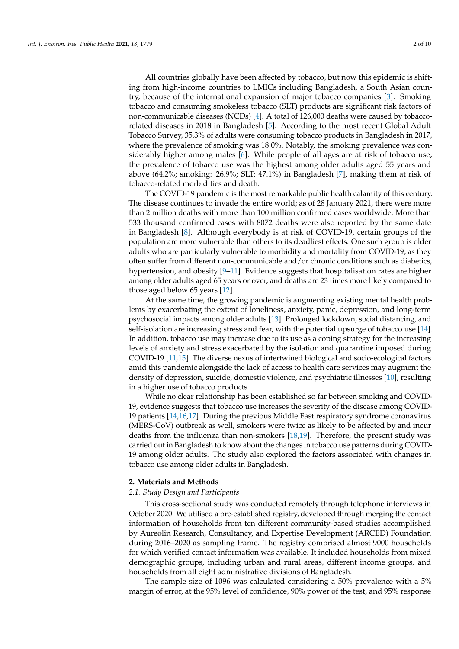All countries globally have been affected by tobacco, but now this epidemic is shifting from high-income countries to LMICs including Bangladesh, a South Asian country, because of the international expansion of major tobacco companies [\[3\]](#page-8-2). Smoking tobacco and consuming smokeless tobacco (SLT) products are significant risk factors of non-communicable diseases (NCDs) [\[4\]](#page-8-3). A total of 126,000 deaths were caused by tobaccorelated diseases in 2018 in Bangladesh [\[5\]](#page-8-4). According to the most recent Global Adult Tobacco Survey, 35.3% of adults were consuming tobacco products in Bangladesh in 2017, where the prevalence of smoking was 18.0%. Notably, the smoking prevalence was considerably higher among males [\[6\]](#page-8-5). While people of all ages are at risk of tobacco use, the prevalence of tobacco use was the highest among older adults aged 55 years and above (64.2%; smoking: 26.9%; SLT: 47.1%) in Bangladesh [\[7\]](#page-8-6), making them at risk of tobacco-related morbidities and death.

The COVID-19 pandemic is the most remarkable public health calamity of this century. The disease continues to invade the entire world; as of 28 January 2021, there were more than 2 million deaths with more than 100 million confirmed cases worldwide. More than 533 thousand confirmed cases with 8072 deaths were also reported by the same date in Bangladesh [\[8\]](#page-8-7). Although everybody is at risk of COVID-19, certain groups of the population are more vulnerable than others to its deadliest effects. One such group is older adults who are particularly vulnerable to morbidity and mortality from COVID-19, as they often suffer from different non-communicable and/or chronic conditions such as diabetics, hypertension, and obesity [\[9–](#page-8-8)[11\]](#page-8-9). Evidence suggests that hospitalisation rates are higher among older adults aged 65 years or over, and deaths are 23 times more likely compared to those aged below 65 years [\[12\]](#page-8-10).

At the same time, the growing pandemic is augmenting existing mental health problems by exacerbating the extent of loneliness, anxiety, panic, depression, and long-term psychosocial impacts among older adults [\[13\]](#page-8-11). Prolonged lockdown, social distancing, and self-isolation are increasing stress and fear, with the potential upsurge of tobacco use [\[14\]](#page-8-12). In addition, tobacco use may increase due to its use as a coping strategy for the increasing levels of anxiety and stress exacerbated by the isolation and quarantine imposed during COVID-19 [\[11,](#page-8-9)[15\]](#page-8-13). The diverse nexus of intertwined biological and socio-ecological factors amid this pandemic alongside the lack of access to health care services may augment the density of depression, suicide, domestic violence, and psychiatric illnesses [\[10\]](#page-8-14), resulting in a higher use of tobacco products.

While no clear relationship has been established so far between smoking and COVID-19, evidence suggests that tobacco use increases the severity of the disease among COVID-19 patients [\[14,](#page-8-12)[16,](#page-8-15)[17\]](#page-8-16). During the previous Middle East respiratory syndrome coronavirus (MERS-CoV) outbreak as well, smokers were twice as likely to be affected by and incur deaths from the influenza than non-smokers [\[18,](#page-8-17)[19\]](#page-8-18). Therefore, the present study was carried out in Bangladesh to know about the changes in tobacco use patterns during COVID-19 among older adults. The study also explored the factors associated with changes in tobacco use among older adults in Bangladesh.

#### **2. Materials and Methods**

## *2.1. Study Design and Participants*

This cross-sectional study was conducted remotely through telephone interviews in October 2020. We utilised a pre-established registry, developed through merging the contact information of households from ten different community-based studies accomplished by Aureolin Research, Consultancy, and Expertise Development (ARCED) Foundation during 2016–2020 as sampling frame. The registry comprised almost 9000 households for which verified contact information was available. It included households from mixed demographic groups, including urban and rural areas, different income groups, and households from all eight administrative divisions of Bangladesh.

The sample size of 1096 was calculated considering a 50% prevalence with a 5% margin of error, at the 95% level of confidence, 90% power of the test, and 95% response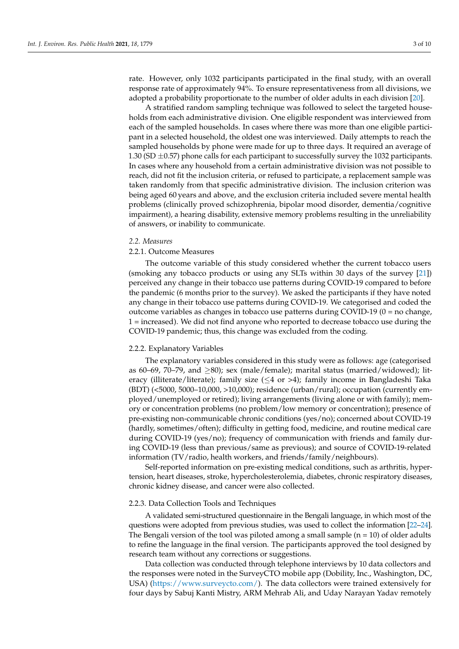rate. However, only 1032 participants participated in the final study, with an overall response rate of approximately 94%. To ensure representativeness from all divisions, we adopted a probability proportionate to the number of older adults in each division [\[20\]](#page-8-19).

A stratified random sampling technique was followed to select the targeted households from each administrative division. One eligible respondent was interviewed from each of the sampled households. In cases where there was more than one eligible participant in a selected household, the oldest one was interviewed. Daily attempts to reach the sampled households by phone were made for up to three days. It required an average of 1.30 (SD  $\pm$ 0.57) phone calls for each participant to successfully survey the 1032 participants. In cases where any household from a certain administrative division was not possible to reach, did not fit the inclusion criteria, or refused to participate, a replacement sample was taken randomly from that specific administrative division. The inclusion criterion was being aged 60 years and above, and the exclusion criteria included severe mental health problems (clinically proved schizophrenia, bipolar mood disorder, dementia/cognitive impairment), a hearing disability, extensive memory problems resulting in the unreliability of answers, or inability to communicate.

#### *2.2. Measures*

## 2.2.1. Outcome Measures

The outcome variable of this study considered whether the current tobacco users (smoking any tobacco products or using any SLTs within 30 days of the survey [\[21\]](#page-9-0)) perceived any change in their tobacco use patterns during COVID-19 compared to before the pandemic (6 months prior to the survey). We asked the participants if they have noted any change in their tobacco use patterns during COVID-19. We categorised and coded the outcome variables as changes in tobacco use patterns during COVID-19 (0 = no change, 1 = increased). We did not find anyone who reported to decrease tobacco use during the COVID-19 pandemic; thus, this change was excluded from the coding.

## 2.2.2. Explanatory Variables

The explanatory variables considered in this study were as follows: age (categorised as 60–69, 70–79, and  $\geq$ 80); sex (male/female); marital status (married/widowed); literacy (illiterate/literate); family size  $(\leq 4 \text{ or } > 4)$ ; family income in Bangladeshi Taka (BDT) (<5000, 5000–10,000, >10,000); residence (urban/rural); occupation (currently employed/unemployed or retired); living arrangements (living alone or with family); memory or concentration problems (no problem/low memory or concentration); presence of pre-existing non-communicable chronic conditions (yes/no); concerned about COVID-19 (hardly, sometimes/often); difficulty in getting food, medicine, and routine medical care during COVID-19 (yes/no); frequency of communication with friends and family during COVID-19 (less than previous/same as previous); and source of COVID-19-related information (TV/radio, health workers, and friends/family/neighbours).

Self-reported information on pre-existing medical conditions, such as arthritis, hypertension, heart diseases, stroke, hypercholesterolemia, diabetes, chronic respiratory diseases, chronic kidney disease, and cancer were also collected.

#### 2.2.3. Data Collection Tools and Techniques

A validated semi-structured questionnaire in the Bengali language, in which most of the questions were adopted from previous studies, was used to collect the information [\[22](#page-9-1)[–24\]](#page-9-2). The Bengali version of the tool was piloted among a small sample  $(n = 10)$  of older adults to refine the language in the final version. The participants approved the tool designed by research team without any corrections or suggestions.

Data collection was conducted through telephone interviews by 10 data collectors and the responses were noted in the SurveyCTO mobile app (Dobility, Inc., Washington, DC, USA) [\(https://www.surveycto.com/\)](https://www.surveycto.com/). The data collectors were trained extensively for four days by Sabuj Kanti Mistry, ARM Mehrab Ali, and Uday Narayan Yadav remotely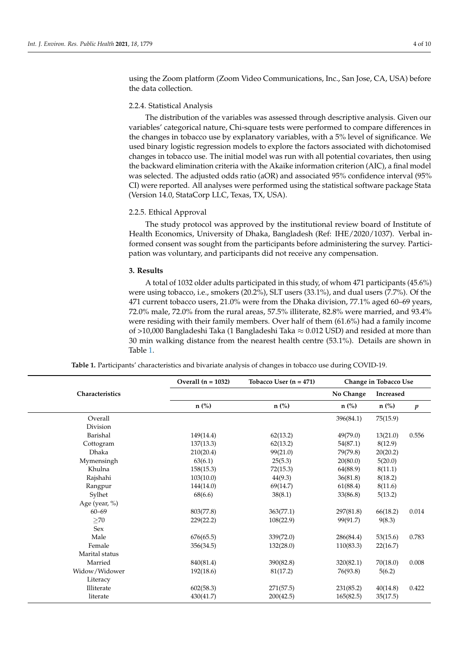using the Zoom platform (Zoom Video Communications, Inc., San Jose, CA, USA) before the data collection.

## 2.2.4. Statistical Analysis

The distribution of the variables was assessed through descriptive analysis. Given our variables' categorical nature, Chi-square tests were performed to compare differences in the changes in tobacco use by explanatory variables, with a 5% level of significance. We used binary logistic regression models to explore the factors associated with dichotomised changes in tobacco use. The initial model was run with all potential covariates, then using the backward elimination criteria with the Akaike information criterion (AIC), a final model was selected. The adjusted odds ratio (aOR) and associated 95% confidence interval (95% CI) were reported. All analyses were performed using the statistical software package Stata (Version 14.0, StataCorp LLC, Texas, TX, USA).

#### 2.2.5. Ethical Approval

The study protocol was approved by the institutional review board of Institute of Health Economics, University of Dhaka, Bangladesh (Ref: IHE/2020/1037). Verbal informed consent was sought from the participants before administering the survey. Participation was voluntary, and participants did not receive any compensation.

#### **3. Results**

A total of 1032 older adults participated in this study, of whom 471 participants (45.6%) were using tobacco, i.e., smokers (20.2%), SLT users (33.1%), and dual users (7.7%). Of the 471 current tobacco users, 21.0% were from the Dhaka division, 77.1% aged 60–69 years, 72.0% male, 72.0% from the rural areas, 57.5% illiterate, 82.8% were married, and 93.4% were residing with their family members. Over half of them (61.6%) had a family income of >10,000 Bangladeshi Taka (1 Bangladeshi Taka  $\approx$  0.012 USD) and resided at more than 30 min walking distance from the nearest health centre (53.1%). Details are shown in Table [1.](#page-4-0)

|                 | Overall $(n = 1032)$ | Tobacco User $(n = 471)$ | Change in Tobacco Use |                  |                  |
|-----------------|----------------------|--------------------------|-----------------------|------------------|------------------|
| Characteristics |                      |                          | No Change             | <b>Increased</b> |                  |
|                 | $n$ (%)              | $n$ (%)                  | $n$ (%)               | $n$ (%)          | $\boldsymbol{p}$ |
| Overall         |                      |                          | 396(84.1)             | 75(15.9)         |                  |
| Division        |                      |                          |                       |                  |                  |
| Barishal        | 149(14.4)            | 62(13.2)                 | 49(79.0)              | 13(21.0)         | 0.556            |
| Cottogram       | 137(13.3)            | 62(13.2)                 | 54(87.1)              | 8(12.9)          |                  |
| <b>Dhaka</b>    | 210(20.4)            | 99(21.0)                 | 79(79.8)              | 20(20.2)         |                  |
| Mymensingh      | 63(6.1)              | 25(5.3)                  | 20(80.0)              | 5(20.0)          |                  |
| Khulna          | 158(15.3)            | 72(15.3)                 | 64(88.9)              | 8(11.1)          |                  |
| Rajshahi        | 103(10.0)            | 44(9.3)                  | 36(81.8)              | 8(18.2)          |                  |
| Rangpur         | 144(14.0)            | 69(14.7)                 | 61(88.4)              | 8(11.6)          |                  |
| Sylhet          | 68(6.6)              | 38(8.1)                  | 33(86.8)              | 5(13.2)          |                  |
| Age (year, %)   |                      |                          |                       |                  |                  |
| $60 - 69$       | 803(77.8)            | 363(77.1)                | 297(81.8)             | 66(18.2)         | 0.014            |
| $\geq$ 70       | 229(22.2)            | 108(22.9)                | 99(91.7)              | 9(8.3)           |                  |
| Sex             |                      |                          |                       |                  |                  |
| Male            | 676(65.5)            | 339(72.0)                | 286(84.4)             | 53(15.6)         | 0.783            |
| Female          | 356(34.5)            | 132(28.0)                | 110(83.3)             | 22(16.7)         |                  |
| Marital status  |                      |                          |                       |                  |                  |
| Married         | 840(81.4)            | 390(82.8)                | 320(82.1)             | 70(18.0)         | 0.008            |
| Widow/Widower   | 192(18.6)            | 81(17.2)                 | 76(93.8)              | 5(6.2)           |                  |
| Literacy        |                      |                          |                       |                  |                  |
| Illiterate      | 602(58.3)            | 271(57.5)                | 231(85.2)             | 40(14.8)         | 0.422            |
| literate        | 430(41.7)            | 200(42.5)                | 165(82.5)             | 35(17.5)         |                  |

**Table 1.** Participants' characteristics and bivariate analysis of changes in tobacco use during COVID-19.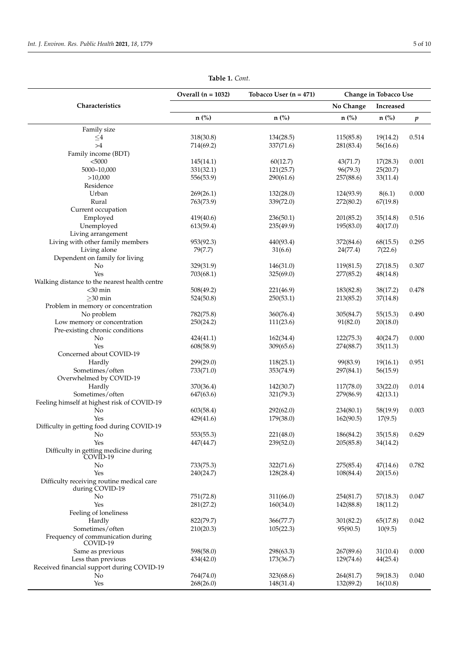<span id="page-4-0"></span>

|                                                              | Overall $(n = 1032)$ | Tobacco User ( $n = 471$ ) | Change in Tobacco Use |           |                  |
|--------------------------------------------------------------|----------------------|----------------------------|-----------------------|-----------|------------------|
| Characteristics                                              |                      |                            | No Change             | Increased |                  |
|                                                              | n (%)                | $n$ (%)                    | $n$ (%)               | $n$ (%)   | $\boldsymbol{p}$ |
| Family size                                                  |                      |                            |                       |           |                  |
| ${\leq}4$                                                    | 318(30.8)            | 134(28.5)                  | 115(85.8)             | 19(14.2)  | 0.514            |
| $>\!4$                                                       | 714(69.2)            | 337(71.6)                  | 281(83.4)             | 56(16.6)  |                  |
| Family income (BDT)                                          |                      |                            |                       |           |                  |
| $5000$                                                       | 145(14.1)            | 60(12.7)                   | 43(71.7)              | 17(28.3)  | 0.001            |
| 5000-10,000                                                  | 331(32.1)            | 121(25.7)                  | 96(79.3)              | 25(20.7)  |                  |
| >10,000                                                      | 556(53.9)            | 290(61.6)                  | 257(88.6)             | 33(11.4)  |                  |
| Residence                                                    |                      |                            |                       |           |                  |
| Urban                                                        | 269(26.1)            | 132(28.0)                  | 124(93.9)             | 8(6.1)    | 0.000            |
| Rural                                                        | 763(73.9)            | 339(72.0)                  | 272(80.2)             | 67(19.8)  |                  |
| Current occupation                                           |                      |                            |                       |           |                  |
| Employed                                                     | 419(40.6)            | 236(50.1)                  | 201(85.2)             | 35(14.8)  | 0.516            |
| Unemployed                                                   | 613(59.4)            | 235(49.9)                  | 195(83.0)             | 40(17.0)  |                  |
| Living arrangement                                           |                      |                            |                       |           |                  |
| Living with other family members                             | 953(92.3)            | 440(93.4)                  | 372(84.6)             | 68(15.5)  | 0.295            |
| Living alone                                                 | 79(7.7)              | 31(6.6)                    | 24(77.4)              | 7(22.6)   |                  |
| Dependent on family for living                               |                      |                            |                       |           |                  |
|                                                              |                      |                            |                       |           |                  |
| No                                                           | 329(31.9)            | 146(31.0)                  | 119(81.5)             | 27(18.5)  | 0.307            |
| Yes                                                          | 703(68.1)            | 325(69.0)                  | 277(85.2)             | 48(14.8)  |                  |
| Walking distance to the nearest health centre                |                      |                            |                       |           |                  |
| $<$ 30 min                                                   | 508(49.2)            | 221(46.9)                  | 183(82.8)             | 38(17.2)  | 0.478            |
| $\geq$ 30 min                                                | 524(50.8)            | 250(53.1)                  | 213(85.2)             | 37(14.8)  |                  |
| Problem in memory or concentration                           |                      |                            |                       |           |                  |
| No problem                                                   | 782(75.8)            | 360(76.4)                  | 305(84.7)             | 55(15.3)  | 0.490            |
| Low memory or concentration                                  | 250(24.2)            | 111(23.6)                  | 91(82.0)              | 20(18.0)  |                  |
| Pre-existing chronic conditions                              |                      |                            |                       |           |                  |
| No                                                           | 424(41.1)            | 162(34.4)                  | 122(75.3)             | 40(24.7)  | 0.000            |
| Yes                                                          | 608(58.9)            | 309(65.6)                  | 274(88.7)             | 35(11.3)  |                  |
| Concerned about COVID-19                                     |                      |                            |                       |           |                  |
| Hardly                                                       | 299(29.0)            | 118(25.1)                  | 99(83.9)              | 19(16.1)  | 0.951            |
| Sometimes/often                                              | 733(71.0)            | 353(74.9)                  | 297(84.1)             | 56(15.9)  |                  |
| Overwhelmed by COVID-19                                      |                      |                            |                       |           |                  |
| Hardly                                                       | 370(36.4)            | 142(30.7)                  | 117(78.0)             | 33(22.0)  | 0.014            |
| Sometimes/often                                              | 647(63.6)            | 321(79.3)                  | 279(86.9)             | 42(13.1)  |                  |
| Feeling himself at highest risk of COVID-19                  |                      |                            |                       |           |                  |
| No                                                           | 603(58.4)            | 292(62.0)                  | 234(80.1)             | 58(19.9)  | 0.003            |
| Yes                                                          | 429(41.6)            | 179(38.0)                  | 162(90.5)             | 17(9.5)   |                  |
| Difficulty in getting food during COVID-19                   |                      |                            |                       |           |                  |
| NO                                                           | 553(55.3)            | 221(48.0)                  | 186(84.2)             | 35(15.8)  | 0.629            |
| Yes                                                          | 447(44.7)            | 239(52.0)                  | 205(85.8)             | 34(14.2)  |                  |
| Difficulty in getting medicine during                        |                      |                            |                       |           |                  |
| COVID-19                                                     |                      |                            |                       |           |                  |
| No                                                           | 733(75.3)            | 322(71.6)                  | 275(85.4)             | 47(14.6)  | 0.782            |
| Yes                                                          | 240(24.7)            | 128(28.4)                  | 108(84.4)             | 20(15.6)  |                  |
| Difficulty receiving routine medical care<br>during COVID-19 |                      |                            |                       |           |                  |
| No                                                           | 751(72.8)            | 311(66.0)                  | 254(81.7)             | 57(18.3)  | 0.047            |
| Yes                                                          | 281(27.2)            | 160(34.0)                  | 142(88.8)             | 18(11.2)  |                  |
| Feeling of loneliness                                        |                      |                            |                       |           |                  |
| Hardly                                                       | 822(79.7)            | 366(77.7)                  | 301(82.2)             | 65(17.8)  | 0.042            |
| Sometimes/often                                              | 210(20.3)            | 105(22.3)                  | 95(90.5)              | 10(9.5)   |                  |
| Frequency of communication during<br>COVID-19                |                      |                            |                       |           |                  |
| Same as previous                                             | 598(58.0)            | 298(63.3)                  | 267(89.6)             | 31(10.4)  | 0.000            |
| Less than previous                                           | 434(42.0)            | 173(36.7)                  | 129(74.6)             | 44(25.4)  |                  |
| Received financial support during COVID-19                   |                      |                            |                       |           |                  |
| No                                                           | 764(74.0)            | 323(68.6)                  | 264(81.7)             | 59(18.3)  | 0.040            |
| Yes                                                          | 268(26.0)            | 148(31.4)                  | 132(89.2)             | 16(10.8)  |                  |
|                                                              |                      |                            |                       |           |                  |

**Table 1.** *Cont.*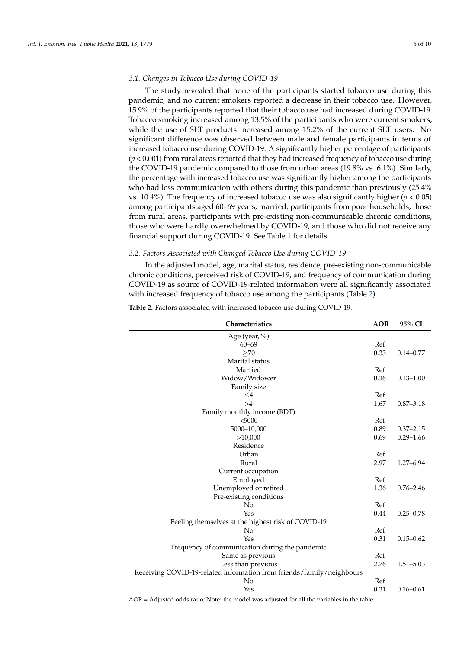## *3.1. Changes in Tobacco Use during COVID-19*

The study revealed that none of the participants started tobacco use during this pandemic, and no current smokers reported a decrease in their tobacco use. However, 15.9% of the participants reported that their tobacco use had increased during COVID-19. Tobacco smoking increased among 13.5% of the participants who were current smokers, while the use of SLT products increased among 15.2% of the current SLT users. No significant difference was observed between male and female participants in terms of increased tobacco use during COVID-19. A significantly higher percentage of participants (*p* < 0.001) from rural areas reported that they had increased frequency of tobacco use during the COVID-19 pandemic compared to those from urban areas (19.8% vs. 6.1%). Similarly, the percentage with increased tobacco use was significantly higher among the participants who had less communication with others during this pandemic than previously (25.4% vs. 10.4%). The frequency of increased tobacco use was also significantly higher (*p* < 0.05) among participants aged 60–69 years, married, participants from poor households, those from rural areas, participants with pre-existing non-communicable chronic conditions, those who were hardly overwhelmed by COVID-19, and those who did not receive any financial support during COVID-19. See Table [1](#page-4-0) for details.

#### *3.2. Factors Associated with Changed Tobacco Use during COVID-19*

In the adjusted model, age, marital status, residence, pre-existing non-communicable chronic conditions, perceived risk of COVID-19, and frequency of communication during COVID-19 as source of COVID-19-related information were all significantly associated with increased frequency of tobacco use among the participants (Table [2\)](#page-5-0).

| Characteristics                                                       | <b>AOR</b> | 95% CI        |
|-----------------------------------------------------------------------|------------|---------------|
| Age (year, $\%$ )                                                     |            |               |
| $60 - 69$                                                             | Ref        |               |
| $\geq$ 70                                                             | 0.33       | $0.14 - 0.77$ |
| Marital status                                                        |            |               |
| Married                                                               | Ref        |               |
| Widow/Widower                                                         | 0.36       | $0.13 - 1.00$ |
| Family size                                                           |            |               |
| $\leq$ 4                                                              | Ref        |               |
| >4                                                                    | 1.67       | $0.87 - 3.18$ |
| Family monthly income (BDT)                                           |            |               |
| < 5000                                                                | Ref        |               |
| 5000-10,000                                                           | 0.89       | $0.37 - 2.15$ |
| >10,000                                                               | 0.69       | $0.29 - 1.66$ |
| Residence                                                             |            |               |
| Urban                                                                 | Ref        |               |
| Rural                                                                 | 2.97       | $1.27 - 6.94$ |
| Current occupation                                                    |            |               |
| Employed                                                              | Ref        |               |
| Unemployed or retired                                                 | 1.36       | $0.76 - 2.46$ |
| Pre-existing conditions                                               |            |               |
| No                                                                    | Ref        |               |
| Yes                                                                   | 0.44       | $0.25 - 0.78$ |
| Feeling themselves at the highest risk of COVID-19                    |            |               |
| No                                                                    | Ref        |               |
| Yes                                                                   | 0.31       | $0.15 - 0.62$ |
| Frequency of communication during the pandemic                        |            |               |
| Same as previous                                                      | Ref        |               |
| Less than previous                                                    | 2.76       | $1.51 - 5.03$ |
| Receiving COVID-19-related information from friends/family/neighbours |            |               |
| No                                                                    | Ref        |               |
| Yes                                                                   | 0.31       | $0.16 - 0.61$ |

<span id="page-5-0"></span>**Table 2.** Factors associated with increased tobacco use during COVID-19.

AOR = Adjusted odds ratio; Note: the model was adjusted for all the variables in the table.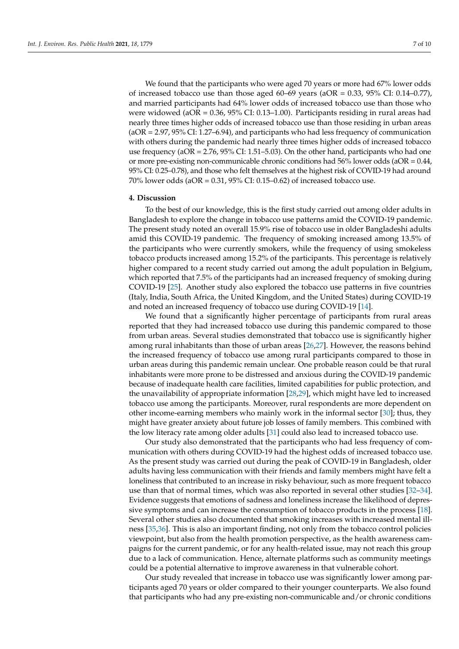We found that the participants who were aged 70 years or more had 67% lower odds of increased tobacco use than those aged  $60-69$  years ( $aOR = 0.33$ ,  $95\%$  CI:  $0.14-0.77$ ), and married participants had 64% lower odds of increased tobacco use than those who were widowed (aOR = 0.36, 95% CI: 0.13–1.00). Participants residing in rural areas had nearly three times higher odds of increased tobacco use than those residing in urban areas (aOR = 2.97, 95% CI: 1.27–6.94), and participants who had less frequency of communication with others during the pandemic had nearly three times higher odds of increased tobacco use frequency (aOR = 2.76, 95% CI: 1.51–5.03). On the other hand, participants who had one or more pre-existing non-communicable chronic conditions had  $56\%$  lower odds (aOR = 0.44, 95% CI: 0.25–0.78), and those who felt themselves at the highest risk of COVID-19 had around 70% lower odds (aOR = 0.31, 95% CI: 0.15–0.62) of increased tobacco use.

## **4. Discussion**

To the best of our knowledge, this is the first study carried out among older adults in Bangladesh to explore the change in tobacco use patterns amid the COVID-19 pandemic. The present study noted an overall 15.9% rise of tobacco use in older Bangladeshi adults amid this COVID-19 pandemic. The frequency of smoking increased among 13.5% of the participants who were currently smokers, while the frequency of using smokeless tobacco products increased among 15.2% of the participants. This percentage is relatively higher compared to a recent study carried out among the adult population in Belgium, which reported that 7.5% of the participants had an increased frequency of smoking during COVID-19 [\[25\]](#page-9-3). Another study also explored the tobacco use patterns in five countries (Italy, India, South Africa, the United Kingdom, and the United States) during COVID-19 and noted an increased frequency of tobacco use during COVID-19 [\[14\]](#page-8-12).

We found that a significantly higher percentage of participants from rural areas reported that they had increased tobacco use during this pandemic compared to those from urban areas. Several studies demonstrated that tobacco use is significantly higher among rural inhabitants than those of urban areas [\[26,](#page-9-4)[27\]](#page-9-5). However, the reasons behind the increased frequency of tobacco use among rural participants compared to those in urban areas during this pandemic remain unclear. One probable reason could be that rural inhabitants were more prone to be distressed and anxious during the COVID-19 pandemic because of inadequate health care facilities, limited capabilities for public protection, and the unavailability of appropriate information [\[28,](#page-9-6)[29\]](#page-9-7), which might have led to increased tobacco use among the participants. Moreover, rural respondents are more dependent on other income-earning members who mainly work in the informal sector [\[30\]](#page-9-8); thus, they might have greater anxiety about future job losses of family members. This combined with the low literacy rate among older adults [\[31\]](#page-9-9) could also lead to increased tobacco use.

Our study also demonstrated that the participants who had less frequency of communication with others during COVID-19 had the highest odds of increased tobacco use. As the present study was carried out during the peak of COVID-19 in Bangladesh, older adults having less communication with their friends and family members might have felt a loneliness that contributed to an increase in risky behaviour, such as more frequent tobacco use than that of normal times, which was also reported in several other studies [\[32](#page-9-10)[–34\]](#page-9-11). Evidence suggests that emotions of sadness and loneliness increase the likelihood of depressive symptoms and can increase the consumption of tobacco products in the process [\[18\]](#page-8-17). Several other studies also documented that smoking increases with increased mental illness [\[35](#page-9-12)[,36\]](#page-9-13). This is also an important finding, not only from the tobacco control policies viewpoint, but also from the health promotion perspective, as the health awareness campaigns for the current pandemic, or for any health-related issue, may not reach this group due to a lack of communication. Hence, alternate platforms such as community meetings could be a potential alternative to improve awareness in that vulnerable cohort.

Our study revealed that increase in tobacco use was significantly lower among participants aged 70 years or older compared to their younger counterparts. We also found that participants who had any pre-existing non-communicable and/or chronic conditions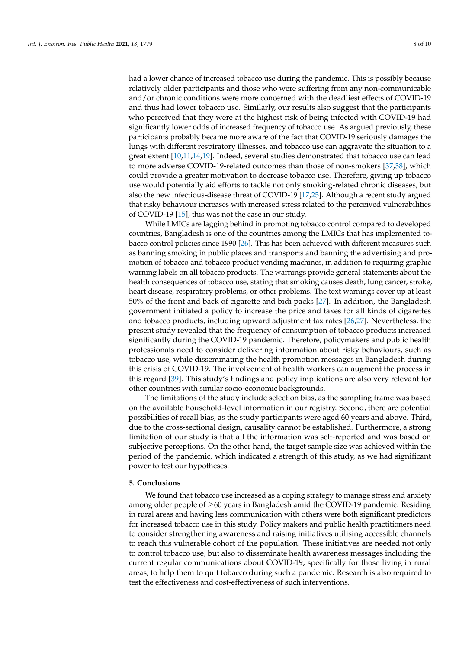had a lower chance of increased tobacco use during the pandemic. This is possibly because relatively older participants and those who were suffering from any non-communicable and/or chronic conditions were more concerned with the deadliest effects of COVID-19 and thus had lower tobacco use. Similarly, our results also suggest that the participants who perceived that they were at the highest risk of being infected with COVID-19 had significantly lower odds of increased frequency of tobacco use. As argued previously, these participants probably became more aware of the fact that COVID-19 seriously damages the lungs with different respiratory illnesses, and tobacco use can aggravate the situation to a great extent [\[10](#page-8-14)[,11](#page-8-9)[,14](#page-8-12)[,19\]](#page-8-18). Indeed, several studies demonstrated that tobacco use can lead to more adverse COVID-19-related outcomes than those of non-smokers [\[37,](#page-9-14)[38\]](#page-9-15), which could provide a greater motivation to decrease tobacco use. Therefore, giving up tobacco use would potentially aid efforts to tackle not only smoking-related chronic diseases, but also the new infectious-disease threat of COVID-19 [\[17](#page-8-16)[,25\]](#page-9-3). Although a recent study argued that risky behaviour increases with increased stress related to the perceived vulnerabilities of COVID-19 [\[15\]](#page-8-13), this was not the case in our study.

While LMICs are lagging behind in promoting tobacco control compared to developed countries, Bangladesh is one of the countries among the LMICs that has implemented tobacco control policies since 1990 [\[26\]](#page-9-4). This has been achieved with different measures such as banning smoking in public places and transports and banning the advertising and promotion of tobacco and tobacco product vending machines, in addition to requiring graphic warning labels on all tobacco products. The warnings provide general statements about the health consequences of tobacco use, stating that smoking causes death, lung cancer, stroke, heart disease, respiratory problems, or other problems. The text warnings cover up at least 50% of the front and back of cigarette and bidi packs [\[27\]](#page-9-5). In addition, the Bangladesh government initiated a policy to increase the price and taxes for all kinds of cigarettes and tobacco products, including upward adjustment tax rates [\[26,](#page-9-4)[27\]](#page-9-5). Nevertheless, the present study revealed that the frequency of consumption of tobacco products increased significantly during the COVID-19 pandemic. Therefore, policymakers and public health professionals need to consider delivering information about risky behaviours, such as tobacco use, while disseminating the health promotion messages in Bangladesh during this crisis of COVID-19. The involvement of health workers can augment the process in this regard [\[39\]](#page-9-16). This study's findings and policy implications are also very relevant for other countries with similar socio-economic backgrounds.

The limitations of the study include selection bias, as the sampling frame was based on the available household-level information in our registry. Second, there are potential possibilities of recall bias, as the study participants were aged 60 years and above. Third, due to the cross-sectional design, causality cannot be established. Furthermore, a strong limitation of our study is that all the information was self-reported and was based on subjective perceptions. On the other hand, the target sample size was achieved within the period of the pandemic, which indicated a strength of this study, as we had significant power to test our hypotheses.

#### **5. Conclusions**

We found that tobacco use increased as a coping strategy to manage stress and anxiety among older people of  $\geq$ 60 years in Bangladesh amid the COVID-19 pandemic. Residing in rural areas and having less communication with others were both significant predictors for increased tobacco use in this study. Policy makers and public health practitioners need to consider strengthening awareness and raising initiatives utilising accessible channels to reach this vulnerable cohort of the population. These initiatives are needed not only to control tobacco use, but also to disseminate health awareness messages including the current regular communications about COVID-19, specifically for those living in rural areas, to help them to quit tobacco during such a pandemic. Research is also required to test the effectiveness and cost-effectiveness of such interventions.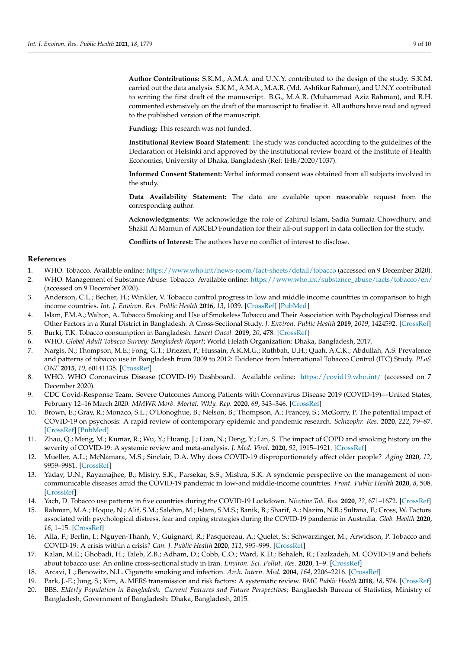**Author Contributions:** S.K.M., A.M.A. and U.N.Y. contributed to the design of the study. S.K.M. carried out the data analysis. S.K.M., A.M.A., M.A.R. (Md. Ashfikur Rahman), and U.N.Y. contributed to writing the first draft of the manuscript. B.G., M.A.R. (Muhammad Aziz Rahman), and R.H. commented extensively on the draft of the manuscript to finalise it. All authors have read and agreed to the published version of the manuscript.

**Funding:** This research was not funded.

**Institutional Review Board Statement:** The study was conducted according to the guidelines of the Declaration of Helsinki and approved by the institutional review board of the Institute of Health Economics, University of Dhaka, Bangladesh (Ref: IHE/2020/1037).

**Informed Consent Statement:** Verbal informed consent was obtained from all subjects involved in the study.

**Data Availability Statement:** The data are available upon reasonable request from the corresponding author.

**Acknowledgments:** We acknowledge the role of Zahirul Islam, Sadia Sumaia Chowdhury, and Shakil Al Mamun of ARCED Foundation for their all-out support in data collection for the study.

**Conflicts of Interest:** The authors have no conflict of interest to disclose.

## **References**

- <span id="page-8-0"></span>1. WHO. Tobacco. Available online: <https://www.who.int/news-room/fact-sheets/detail/tobacco> (accessed on 9 December 2020).
- <span id="page-8-1"></span>2. WHO. Management of Substance Abuse: Tobacco. Available online: [https://www.who.int/substance\\_abuse/facts/tobacco/en/](https://www.who.int/substance_abuse/facts/tobacco/en/) (accessed on 9 December 2020).
- <span id="page-8-2"></span>3. Anderson, C.L.; Becher, H.; Winkler, V. Tobacco control progress in low and middle income countries in comparison to high income countries. *Int. J. Environ. Res. Public Health* **2016**, *13*, 1039. [\[CrossRef\]](http://doi.org/10.3390/ijerph13101039) [\[PubMed\]](http://www.ncbi.nlm.nih.gov/pubmed/27783060)
- <span id="page-8-3"></span>4. Islam, F.M.A.; Walton, A. Tobacco Smoking and Use of Smokeless Tobacco and Their Association with Psychological Distress and Other Factors in a Rural District in Bangladesh: A Cross-Sectional Study. *J. Environ. Public Health* **2019**, *2019*, 1424592. [\[CrossRef\]](http://doi.org/10.1155/2019/1424592)
- <span id="page-8-4"></span>5. Burki, T.K. Tobacco consumption in Bangladesh. *Lancet Oncol.* **2019**, *20*, 478. [\[CrossRef\]](http://doi.org/10.1016/S1470-2045(19)30144-5)
- <span id="page-8-5"></span>6. WHO. *Global Adult Tobacco Survey: Bangladesh Report*; World Helath Organization: Dhaka, Bangladesh, 2017.
- <span id="page-8-6"></span>7. Nargis, N.; Thompson, M.E.; Fong, G.T.; Driezen, P.; Hussain, A.K.M.G.; Ruthbah, U.H.; Quah, A.C.K.; Abdullah, A.S. Prevalence and patterns of tobacco use in Bangladesh from 2009 to 2012: Evidence from International Tobacco Control (ITC) Study. *PLoS ONE* **2015**, *10*, e0141135. [\[CrossRef\]](http://doi.org/10.1371/journal.pone.0141135)
- <span id="page-8-7"></span>8. WHO. WHO Coronavirus Disease (COVID-19) Dashboard. Available online: <https://covid19.who.int/> (accessed on 7 December 2020).
- <span id="page-8-8"></span>9. CDC Covid-Response Team. Severe Outcomes Among Patients with Coronavirus Disease 2019 (COVID-19)—United States, February 12–16 March 2020. *MMWR Morb. Mortal. Wkly. Rep.* **2020**, *69*, 343–346. [\[CrossRef\]](http://doi.org/10.15585/mmwr.mm6912e2)
- <span id="page-8-14"></span>10. Brown, E.; Gray, R.; Monaco, S.L.; O'Donoghue, B.; Nelson, B.; Thompson, A.; Francey, S.; McGorry, P. The potential impact of COVID-19 on psychosis: A rapid review of contemporary epidemic and pandemic research. *Schizophr. Res.* **2020**, *222*, 79–87. [\[CrossRef\]](http://doi.org/10.1016/j.schres.2020.05.005) [\[PubMed\]](http://www.ncbi.nlm.nih.gov/pubmed/32389615)
- <span id="page-8-9"></span>11. Zhao, Q.; Meng, M.; Kumar, R.; Wu, Y.; Huang, J.; Lian, N.; Deng, Y.; Lin, S. The impact of COPD and smoking history on the severity of COVID-19: A systemic review and meta-analysis. *J. Med. Virol.* **2020**, *92*, 1915–1921. [\[CrossRef\]](http://doi.org/10.1002/jmv.25889)
- <span id="page-8-10"></span>12. Mueller, A.L.; McNamara, M.S.; Sinclair, D.A. Why does COVID-19 disproportionately affect older people? *Aging* **2020**, *12*, 9959–9981. [\[CrossRef\]](http://doi.org/10.18632/aging.103344)
- <span id="page-8-11"></span>13. Yadav, U.N.; Rayamajhee, B.; Mistry, S.K.; Parsekar, S.S.; Mishra, S.K. A syndemic perspective on the management of noncommunicable diseases amid the COVID-19 pandemic in low-and middle-income countries. *Front. Public Health* **2020**, *8*, 508. [\[CrossRef\]](http://doi.org/10.3389/fpubh.2020.00508)
- <span id="page-8-12"></span>14. Yach, D. Tobacco use patterns in five countries during the COVID-19 Lockdown. *Nicotine Tob. Res.* **2020**, *22*, 671–1672. [\[CrossRef\]](http://doi.org/10.1093/ntr/ntaa097)
- <span id="page-8-13"></span>15. Rahman, M.A.; Hoque, N.; Alif, S.M.; Salehin, M.; Islam, S.M.S.; Banik, B.; Sharif, A.; Nazim, N.B.; Sultana, F.; Cross, W. Factors associated with psychological distress, fear and coping strategies during the COVID-19 pandemic in Australia. *Glob. Health* **2020**, *16*, 1–15. [\[CrossRef\]](http://doi.org/10.1186/s12992-020-00624-w)
- <span id="page-8-15"></span>16. Alla, F.; Berlin, I.; Nguyen-Thanh, V.; Guignard, R.; Pasquereau, A.; Quelet, S.; Schwarzinger, M.; Arwidson, P. Tobacco and COVID-19: A crisis within a crisis? *Can. J. Public Health* **2020**, *111*, 995–999. [\[CrossRef\]](http://doi.org/10.17269/s41997-020-00427-x)
- <span id="page-8-16"></span>17. Kalan, M.E.; Ghobadi, H.; Taleb, Z.B.; Adham, D.; Cobb, C.O.; Ward, K.D.; Behaleh, R.; Fazlzadeh, M. COVID-19 and beliefs about tobacco use: An online cross-sectional study in Iran. *Environ. Sci. Pollut. Res.* **2020**, 1–9. [\[CrossRef\]](http://doi.org/10.1007/s11356-020-11038-x)
- <span id="page-8-17"></span>18. Arcavi, L.; Benowitz, N.L. Cigarette smoking and infection. *Arch. Intern. Med.* **2004**, *164*, 2206–2216. [\[CrossRef\]](http://doi.org/10.1001/archinte.164.20.2206)
- <span id="page-8-18"></span>19. Park, J.-E.; Jung, S.; Kim, A. MERS transmission and risk factors: A systematic review. *BMC Public Health* **2018**, *18*, 574. [\[CrossRef\]](http://doi.org/10.1186/s12889-018-5484-8)
- <span id="page-8-19"></span>20. BBS. *Elderly Population in Bangladesh: Current Features and Future Perspectives*; Banglaedsh Bureau of Statistics, Ministry of Bangladesh, Government of Bangladesh: Dhaka, Bangladesh, 2015.